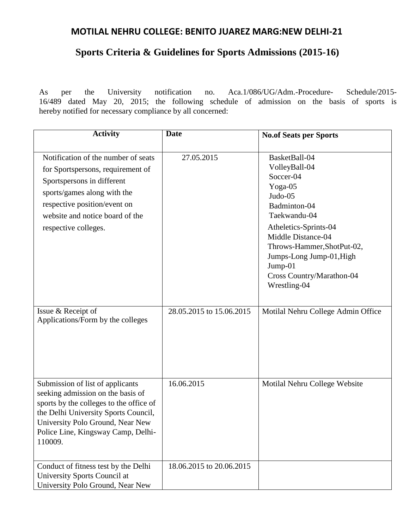# **MOTILAL NEHRU COLLEGE: BENITO JUAREZ MARG:NEW DELHI-21**

# **Sports Criteria & Guidelines for Sports Admissions (2015-16)**

As per the University notification no. Aca.1/086/UG/Adm.-Procedure- Schedule/2015- 16/489 dated May 20, 2015; the following schedule of admission on the basis of sports is hereby notified for necessary compliance by all concerned:

| <b>Activity</b>                                                                                                                                                                                                                               | <b>Date</b>              | <b>No.of Seats per Sports</b>                                                                                                                                                                                                                                      |
|-----------------------------------------------------------------------------------------------------------------------------------------------------------------------------------------------------------------------------------------------|--------------------------|--------------------------------------------------------------------------------------------------------------------------------------------------------------------------------------------------------------------------------------------------------------------|
| Notification of the number of seats<br>for Sportspersons, requirement of<br>Sportspersons in different<br>sports/games along with the<br>respective position/event on<br>website and notice board of the<br>respective colleges.              | 27.05.2015               | BasketBall-04<br>VolleyBall-04<br>Soccer-04<br>Yoga-05<br>Judo-05<br>Badminton-04<br>Taekwandu-04<br>Atheletics-Sprints-04<br>Middle Distance-04<br>Throws-Hammer, ShotPut-02,<br>Jumps-Long Jump-01, High<br>Jump-01<br>Cross Country/Marathon-04<br>Wrestling-04 |
| Issue & Receipt of<br>Applications/Form by the colleges                                                                                                                                                                                       | 28.05.2015 to 15.06.2015 | Motilal Nehru College Admin Office                                                                                                                                                                                                                                 |
| Submission of list of applicants<br>seeking admission on the basis of<br>sports by the colleges to the office of<br>the Delhi University Sports Council,<br>University Polo Ground, Near New<br>Police Line, Kingsway Camp, Delhi-<br>110009. | 16.06.2015               | Motilal Nehru College Website                                                                                                                                                                                                                                      |
| Conduct of fitness test by the Delhi<br>University Sports Council at<br>University Polo Ground, Near New                                                                                                                                      | 18.06.2015 to 20.06.2015 |                                                                                                                                                                                                                                                                    |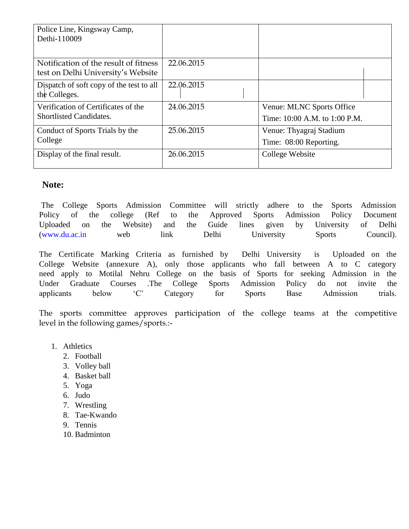| Police Line, Kingsway Camp,<br>Dethi-110009                                 |            |                                                            |  |
|-----------------------------------------------------------------------------|------------|------------------------------------------------------------|--|
| Notification of the result of fitness<br>test on Delhi University's Website | 22.06.2015 |                                                            |  |
| Dispatch of soft copy of the test to all<br>the Colleges.                   | 22.06.2015 |                                                            |  |
| Verification of Certificates of the<br><b>Shortlisted Candidates.</b>       | 24.06.2015 | Venue: MLNC Sports Office<br>Time: 10:00 A.M. to 1:00 P.M. |  |
| Conduct of Sports Trials by the<br>College                                  | 25.06.2015 | Venue: Thyagraj Stadium<br>Time: 08:00 Reporting.          |  |
| Display of the final result.                                                | 26.06.2015 | College Website                                            |  |

## **Note:**

The College Sports Admission Committee will strictly adhere to the Sports Admission Policy of the college (Ref to the Approved Sports Admission Policy Document Uploaded on the Website) and the Guide lines given by University of Delhi (www.du.ac.in web link Delhi University Sports Council).

The Certificate Marking Criteria as furnished by Delhi University is Uploaded on the College Website (annexure A), only those applicants who fall between A to C category need apply to Motilal Nehru College on the basis of Sports for seeking Admission in the Under Graduate Courses .The College Sports Admission Policy do not invite the applicants below 'C' Category for Sports Base Admission trials.

The sports committee approves participation of the college teams at the competitive level in the following games/sports.:-

- 1. Athletics
	- 2. Football
	- 3. Volley ball
	- 4. Basket ball
	- 5. Yoga
	- 6. Judo
	- 7. Wrestling
	- 8. Tae-Kwando
	- 9. Tennis
	- 10. Badminton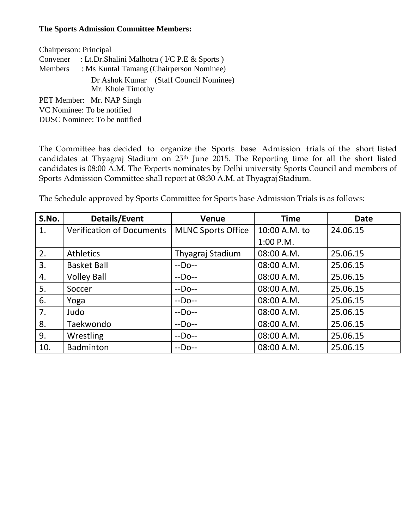#### **The Sports Admission Committee Members:**

| Chairperson: Principal       |                                                  |                                        |  |  |  |
|------------------------------|--------------------------------------------------|----------------------------------------|--|--|--|
| Convener                     | : Lt.Dr.Shalini Malhotra (I/C P.E & Sports)      |                                        |  |  |  |
|                              | Members : Ms Kuntal Tamang (Chairperson Nominee) |                                        |  |  |  |
|                              | Mr. Khole Timothy                                | Dr Ashok Kumar (Staff Council Nominee) |  |  |  |
| PET Member: Mr. NAP Singh    |                                                  |                                        |  |  |  |
| VC Nominee: To be notified   |                                                  |                                        |  |  |  |
| DUSC Nominee: To be notified |                                                  |                                        |  |  |  |

The Committee has decided to organize the Sports base Admission trials of the short listed candidates at Thyagraj Stadium on 25<sup>th</sup> June 2015. The Reporting time for all the short listed candidates is 08:00 A.M. The Experts nominates by Delhi university Sports Council and members of Sports Admission Committee shall report at 08:30 A.M. at Thyagraj Stadium.

The Schedule approved by Sports Committee for Sports base Admission Trials is as follows:

| S.No. | <b>Details/Event</b>             | <b>Venue</b>              | <b>Time</b>   | <b>Date</b> |  |
|-------|----------------------------------|---------------------------|---------------|-------------|--|
| 1.    | <b>Verification of Documents</b> | <b>MLNC Sports Office</b> | 10:00 A.M. to | 24.06.15    |  |
|       |                                  |                           | $1:00$ P.M.   |             |  |
| 2.    | Athletics                        | Thyagraj Stadium          | 08:00 A.M.    | 25.06.15    |  |
| 3.    | <b>Basket Ball</b>               | $-DO--$                   | 08:00 A.M.    | 25.06.15    |  |
| 4.    | <b>Volley Ball</b>               | $-DO--$                   | 08:00 A.M.    | 25.06.15    |  |
| 5.    | Soccer                           | $-DO--$                   | 08:00 A.M.    | 25.06.15    |  |
| 6.    | Yoga                             | $-DO--$                   | 08:00 A.M.    | 25.06.15    |  |
| 7.    | Judo                             | $-DO--$                   | 08:00 A.M.    | 25.06.15    |  |
| 8.    | Taekwondo                        | $-DO--$                   | 08:00 A.M.    | 25.06.15    |  |
| 9.    | Wrestling                        | $-DO--$                   | 08:00 A.M.    | 25.06.15    |  |
| 10.   | <b>Badminton</b>                 | $-DO--$                   | 08:00 A.M.    | 25.06.15    |  |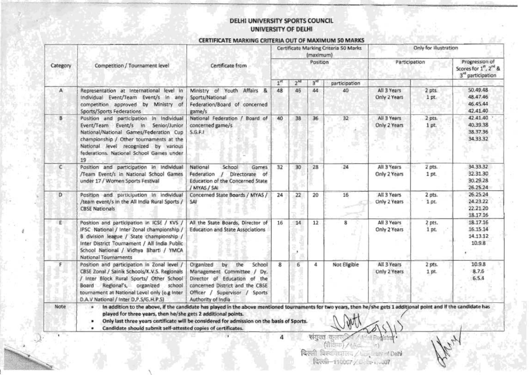#### DELHI UNIVERSITY SPORTS COUNCIL UNIVERSITY OF DELHI

#### CERTIFICATE MARKING CRITERIA OUT OF MAXIMUM 50 MARKS

|          |                                                                                                                                                                                                                                                                              |                                                                                                                                                                                                                                                                    | Certificate Marking Criteria 50 Marks<br>(maximum) |                 | Only for illustration |               |                             |                   |                                                                                     |
|----------|------------------------------------------------------------------------------------------------------------------------------------------------------------------------------------------------------------------------------------------------------------------------------|--------------------------------------------------------------------------------------------------------------------------------------------------------------------------------------------------------------------------------------------------------------------|----------------------------------------------------|-----------------|-----------------------|---------------|-----------------------------|-------------------|-------------------------------------------------------------------------------------|
| Category | Certificate from<br>Competition / Tournament level                                                                                                                                                                                                                           |                                                                                                                                                                                                                                                                    |                                                    | Position        |                       |               | Participation               |                   | Progression of<br>Scores for 1", 2 <sup>nd</sup> &<br>3 <sup>rd</sup> participation |
|          |                                                                                                                                                                                                                                                                              |                                                                                                                                                                                                                                                                    | 1 <sup>st</sup>                                    | 2 <sup>nd</sup> | 3 <sup>rd</sup>       | participation |                             |                   |                                                                                     |
| А        | Representation at International level in<br>Individual Event/Team Event/s in any<br>competition approved by Ministry of<br>Sports/Sports Federations                                                                                                                         | Ministry of Youth Affairs &<br>Sports/National<br>Federation/Board of concerned<br>game/s                                                                                                                                                                          | 48                                                 | 46              | 44                    | 40            | All 3 Years<br>Only 2 Years | 2 pts.<br>1 pt.   | 50.49.48<br>48.47.46<br>46.45.44<br>42.41.40                                        |
| B        | Position and participation in Individual<br>Event/Team Event/s in Senior/Junior<br>National/National Games/Federation Cup<br>championship / Other tournaments at the<br>National level recognized by various<br>federations. National School Games under<br>19               | National Federation / Board of<br>concerned game/s<br>S.G.F.1                                                                                                                                                                                                      | 40                                                 | 38              | 36                    | 32            | All 3 Years<br>Only 2 Years | 2 pts.<br>1pt.    | 42.41.40<br>40.39.38<br>38.37.36<br>34.33.32                                        |
| с        | Position and participation in Individual<br>/Team Event/s in National School Games<br>under 17 / Wornen Sports Festival                                                                                                                                                      | National<br>School<br>Games<br>Federation<br>Directorate of<br>$\prime$<br>Education of the Concerned State<br>/ MYAS / SAI                                                                                                                                        | 32                                                 | 30              | 28                    | 24            | All 3 Years<br>Only 2 Years | 2 pts.<br>1 pt.   | 34.33.32<br>32.31.30<br>30.29.28<br>26.25.24                                        |
| D        | Position and participation in individual<br>/team event/s in the All India Rural Sports /<br><b>CBSE Nationals</b>                                                                                                                                                           | Concerned State Boards / MYAS /<br>SAI                                                                                                                                                                                                                             | 24                                                 | 22              | 20                    | 16            | All 3 Years<br>Only 2 Years | 2 pts.<br>$1$ pt. | 26.25.24<br>24.23.22<br>22.21.20<br>18.17.16                                        |
| £.       | Position and participation in ICSE / KVS /<br>IPSC National / Inter Zonal championship /<br>B division league / State championship /<br>Inter District Tournament / All India Public<br>School National / Vidhya Bharti / YMCA<br>National Tournaments                       | All the State Boards, Director of<br><b>Education and State Associations</b>                                                                                                                                                                                       | 16                                                 | 14              | 12                    | 8             | All 3 Years<br>Only 2 Years | 2 pts.<br>1 pt.   | 18.17.16<br>16.15.14<br>14.13.12<br>10.9.8                                          |
| F        | Position and participation in Zonal level /<br>CBSE Zonal / Sainik Schools/K.V.S. Regionals<br>/ Inter Block Rural Sports/ Other School<br>Regional's, organized<br>school<br>Board<br>tournament at National Level only (e.g Inter<br>D.A.V National / Inter D.P.S/G.H.P.S) | Organized<br>by the<br>School<br>Management Committee / Dy.<br>Director of Education of the<br>concerned District and the CBSE<br>Officer / Supervisor / Sports<br>Authority of India                                                                              | $\mathbf{R}$                                       | 6               | 4                     | Not Eligible  | All 3 Years<br>Only 2 Years | 2 pts.<br>1 pt    | 10.9.8<br>8.7.6<br>6.5.4                                                            |
| Note     | $\blacksquare$<br>played for three years, then he/she gets 2 additional points.<br>Candidate should submit self-attested copies of certificates.                                                                                                                             | In addition to the above, if the candidate has played in the above mentioned tournaments for two years, then he/she gets 1 additional point and if the candidate has<br>Only last three years certificate will be considered for admission on the basis of Sports. |                                                    |                 |                       |               |                             |                   |                                                                                     |

संयुक्त कुलस्त्र / । Redistrar<br>(वीडिया) / (Acc. - - १)<br>दिल्ली विश्वविद्यालय / base and Delh विल्ली-110007 / 0 - 11-11-007

 $3 - 20$